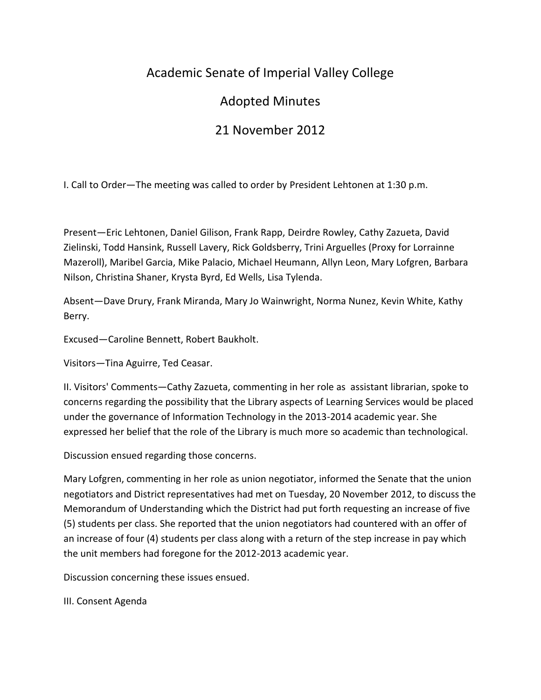## Academic Senate of Imperial Valley College

## Adopted Minutes

# 21 November 2012

I. Call to Order—The meeting was called to order by President Lehtonen at 1:30 p.m.

Present—Eric Lehtonen, Daniel Gilison, Frank Rapp, Deirdre Rowley, Cathy Zazueta, David Zielinski, Todd Hansink, Russell Lavery, Rick Goldsberry, Trini Arguelles (Proxy for Lorrainne Mazeroll), Maribel Garcia, Mike Palacio, Michael Heumann, Allyn Leon, Mary Lofgren, Barbara Nilson, Christina Shaner, Krysta Byrd, Ed Wells, Lisa Tylenda.

Absent—Dave Drury, Frank Miranda, Mary Jo Wainwright, Norma Nunez, Kevin White, Kathy Berry.

Excused—Caroline Bennett, Robert Baukholt.

Visitors—Tina Aguirre, Ted Ceasar.

II. Visitors' Comments—Cathy Zazueta, commenting in her role as assistant librarian, spoke to concerns regarding the possibility that the Library aspects of Learning Services would be placed under the governance of Information Technology in the 2013-2014 academic year. She expressed her belief that the role of the Library is much more so academic than technological.

Discussion ensued regarding those concerns.

Mary Lofgren, commenting in her role as union negotiator, informed the Senate that the union negotiators and District representatives had met on Tuesday, 20 November 2012, to discuss the Memorandum of Understanding which the District had put forth requesting an increase of five (5) students per class. She reported that the union negotiators had countered with an offer of an increase of four (4) students per class along with a return of the step increase in pay which the unit members had foregone for the 2012-2013 academic year.

Discussion concerning these issues ensued.

III. Consent Agenda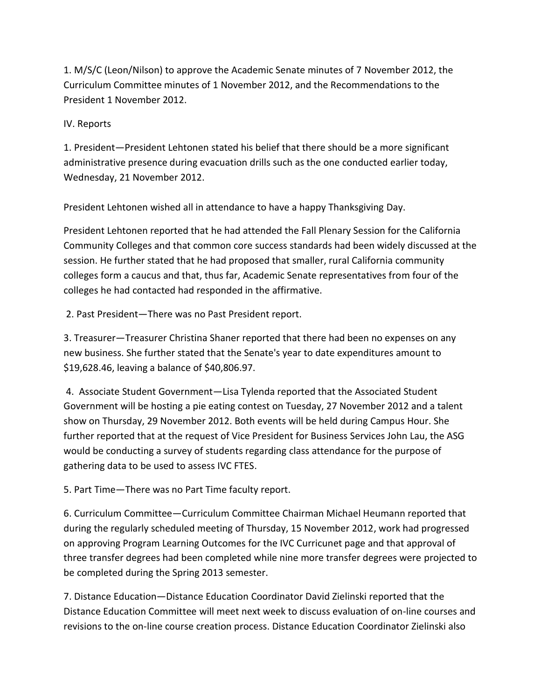1. M/S/C (Leon/Nilson) to approve the Academic Senate minutes of 7 November 2012, the Curriculum Committee minutes of 1 November 2012, and the Recommendations to the President 1 November 2012.

IV. Reports

1. President—President Lehtonen stated his belief that there should be a more significant administrative presence during evacuation drills such as the one conducted earlier today, Wednesday, 21 November 2012.

President Lehtonen wished all in attendance to have a happy Thanksgiving Day.

President Lehtonen reported that he had attended the Fall Plenary Session for the California Community Colleges and that common core success standards had been widely discussed at the session. He further stated that he had proposed that smaller, rural California community colleges form a caucus and that, thus far, Academic Senate representatives from four of the colleges he had contacted had responded in the affirmative.

2. Past President—There was no Past President report.

3. Treasurer—Treasurer Christina Shaner reported that there had been no expenses on any new business. She further stated that the Senate's year to date expenditures amount to \$19,628.46, leaving a balance of \$40,806.97.

4. Associate Student Government—Lisa Tylenda reported that the Associated Student Government will be hosting a pie eating contest on Tuesday, 27 November 2012 and a talent show on Thursday, 29 November 2012. Both events will be held during Campus Hour. She further reported that at the request of Vice President for Business Services John Lau, the ASG would be conducting a survey of students regarding class attendance for the purpose of gathering data to be used to assess IVC FTES.

5. Part Time—There was no Part Time faculty report.

6. Curriculum Committee—Curriculum Committee Chairman Michael Heumann reported that during the regularly scheduled meeting of Thursday, 15 November 2012, work had progressed on approving Program Learning Outcomes for the IVC Curricunet page and that approval of three transfer degrees had been completed while nine more transfer degrees were projected to be completed during the Spring 2013 semester.

7. Distance Education—Distance Education Coordinator David Zielinski reported that the Distance Education Committee will meet next week to discuss evaluation of on-line courses and revisions to the on-line course creation process. Distance Education Coordinator Zielinski also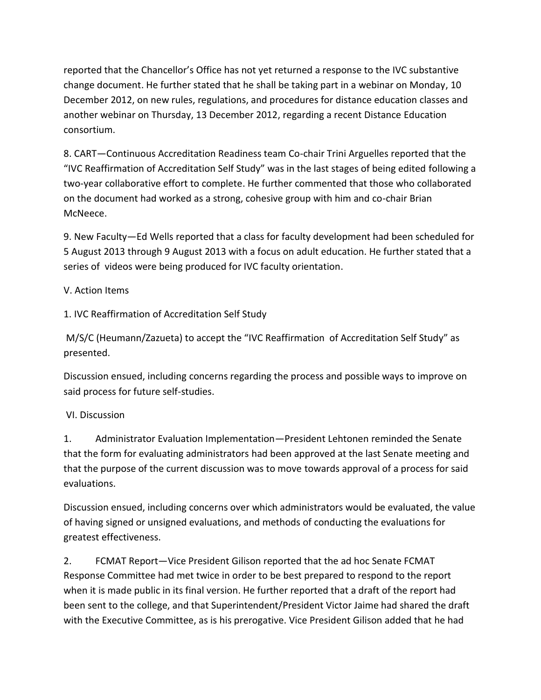reported that the Chancellor's Office has not yet returned a response to the IVC substantive change document. He further stated that he shall be taking part in a webinar on Monday, 10 December 2012, on new rules, regulations, and procedures for distance education classes and another webinar on Thursday, 13 December 2012, regarding a recent Distance Education consortium.

8. CART—Continuous Accreditation Readiness team Co-chair Trini Arguelles reported that the "IVC Reaffirmation of Accreditation Self Study" was in the last stages of being edited following a two-year collaborative effort to complete. He further commented that those who collaborated on the document had worked as a strong, cohesive group with him and co-chair Brian McNeece.

9. New Faculty—Ed Wells reported that a class for faculty development had been scheduled for 5 August 2013 through 9 August 2013 with a focus on adult education. He further stated that a series of videos were being produced for IVC faculty orientation.

### V. Action Items

1. IVC Reaffirmation of Accreditation Self Study

M/S/C (Heumann/Zazueta) to accept the "IVC Reaffirmation of Accreditation Self Study" as presented.

Discussion ensued, including concerns regarding the process and possible ways to improve on said process for future self-studies.

#### VI. Discussion

1. Administrator Evaluation Implementation—President Lehtonen reminded the Senate that the form for evaluating administrators had been approved at the last Senate meeting and that the purpose of the current discussion was to move towards approval of a process for said evaluations.

Discussion ensued, including concerns over which administrators would be evaluated, the value of having signed or unsigned evaluations, and methods of conducting the evaluations for greatest effectiveness.

2. FCMAT Report—Vice President Gilison reported that the ad hoc Senate FCMAT Response Committee had met twice in order to be best prepared to respond to the report when it is made public in its final version. He further reported that a draft of the report had been sent to the college, and that Superintendent/President Victor Jaime had shared the draft with the Executive Committee, as is his prerogative. Vice President Gilison added that he had